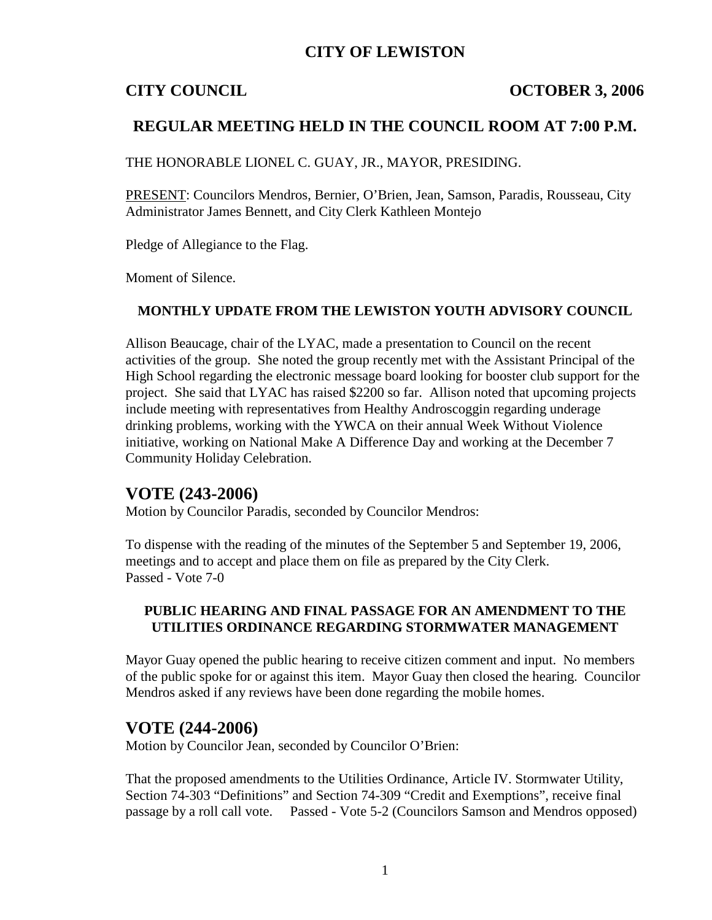## **CITY OF LEWISTON**

#### **CITY COUNCIL COUNCIL COUNCIL COUNCIL COUNCIL**

### **REGULAR MEETING HELD IN THE COUNCIL ROOM AT 7:00 P.M.**

THE HONORABLE LIONEL C. GUAY, JR., MAYOR, PRESIDING.

PRESENT: Councilors Mendros, Bernier, O'Brien, Jean, Samson, Paradis, Rousseau, City Administrator James Bennett, and City Clerk Kathleen Montejo

Pledge of Allegiance to the Flag.

Moment of Silence.

#### **MONTHLY UPDATE FROM THE LEWISTON YOUTH ADVISORY COUNCIL**

Allison Beaucage, chair of the LYAC, made a presentation to Council on the recent activities of the group. She noted the group recently met with the Assistant Principal of the High School regarding the electronic message board looking for booster club support for the project. She said that LYAC has raised \$2200 so far. Allison noted that upcoming projects include meeting with representatives from Healthy Androscoggin regarding underage drinking problems, working with the YWCA on their annual Week Without Violence initiative, working on National Make A Difference Day and working at the December 7 Community Holiday Celebration.

### **VOTE (243-2006)**

Motion by Councilor Paradis, seconded by Councilor Mendros:

To dispense with the reading of the minutes of the September 5 and September 19, 2006, meetings and to accept and place them on file as prepared by the City Clerk. Passed - Vote 7-0

#### **PUBLIC HEARING AND FINAL PASSAGE FOR AN AMENDMENT TO THE UTILITIES ORDINANCE REGARDING STORMWATER MANAGEMENT**

Mayor Guay opened the public hearing to receive citizen comment and input. No members of the public spoke for or against this item. Mayor Guay then closed the hearing. Councilor Mendros asked if any reviews have been done regarding the mobile homes.

### **VOTE (244-2006)**

Motion by Councilor Jean, seconded by Councilor O'Brien:

That the proposed amendments to the Utilities Ordinance, Article IV. Stormwater Utility, Section 74-303 "Definitions" and Section 74-309 "Credit and Exemptions", receive final passage by a roll call vote. Passed - Vote 5-2 (Councilors Samson and Mendros opposed)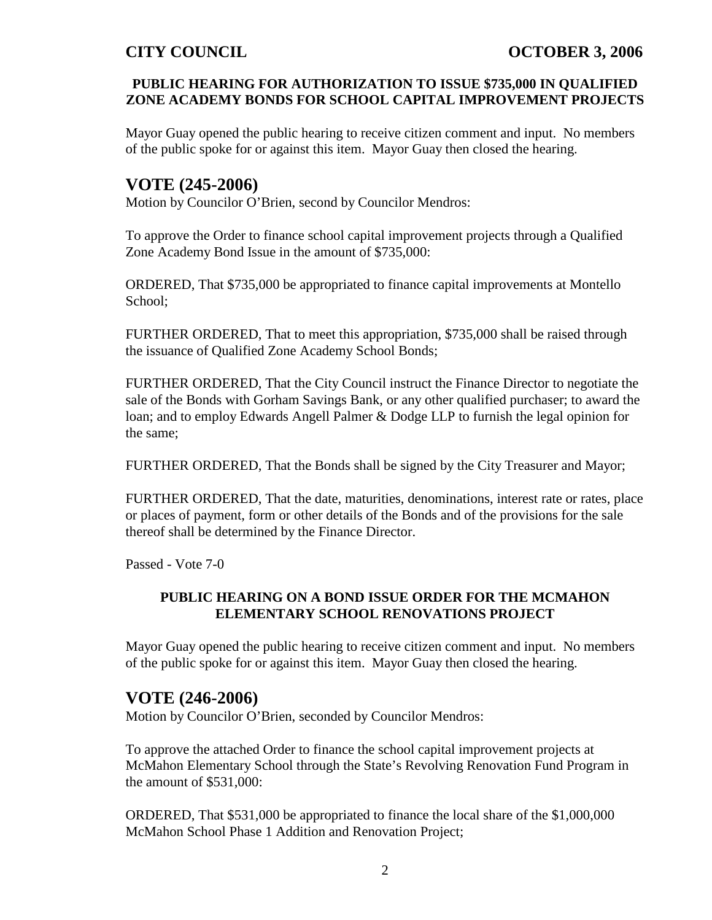#### **PUBLIC HEARING FOR AUTHORIZATION TO ISSUE \$735,000 IN QUALIFIED ZONE ACADEMY BONDS FOR SCHOOL CAPITAL IMPROVEMENT PROJECTS**

Mayor Guay opened the public hearing to receive citizen comment and input. No members of the public spoke for or against this item. Mayor Guay then closed the hearing.

# **VOTE (245-2006)**

Motion by Councilor O'Brien, second by Councilor Mendros:

To approve the Order to finance school capital improvement projects through a Qualified Zone Academy Bond Issue in the amount of \$735,000:

ORDERED, That \$735,000 be appropriated to finance capital improvements at Montello School;

FURTHER ORDERED, That to meet this appropriation, \$735,000 shall be raised through the issuance of Qualified Zone Academy School Bonds;

FURTHER ORDERED, That the City Council instruct the Finance Director to negotiate the sale of the Bonds with Gorham Savings Bank, or any other qualified purchaser; to award the loan; and to employ Edwards Angell Palmer & Dodge LLP to furnish the legal opinion for the same;

FURTHER ORDERED, That the Bonds shall be signed by the City Treasurer and Mayor;

FURTHER ORDERED, That the date, maturities, denominations, interest rate or rates, place or places of payment, form or other details of the Bonds and of the provisions for the sale thereof shall be determined by the Finance Director.

Passed - Vote 7-0

#### **PUBLIC HEARING ON A BOND ISSUE ORDER FOR THE MCMAHON ELEMENTARY SCHOOL RENOVATIONS PROJECT**

Mayor Guay opened the public hearing to receive citizen comment and input. No members of the public spoke for or against this item. Mayor Guay then closed the hearing.

# **VOTE (246-2006)**

Motion by Councilor O'Brien, seconded by Councilor Mendros:

To approve the attached Order to finance the school capital improvement projects at McMahon Elementary School through the State's Revolving Renovation Fund Program in the amount of \$531,000:

ORDERED, That \$531,000 be appropriated to finance the local share of the \$1,000,000 McMahon School Phase 1 Addition and Renovation Project;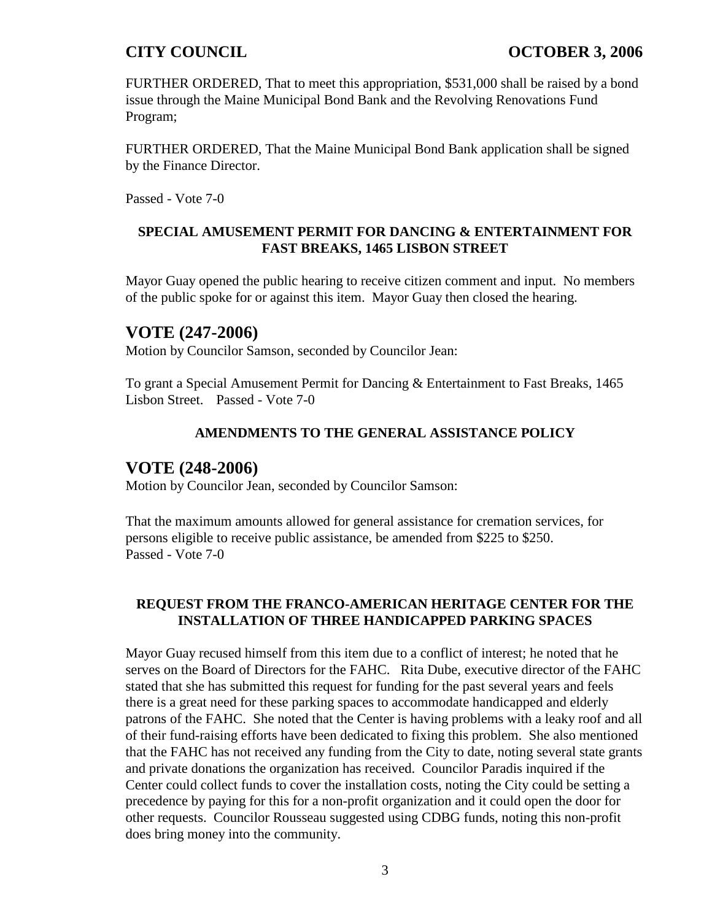FURTHER ORDERED, That to meet this appropriation, \$531,000 shall be raised by a bond issue through the Maine Municipal Bond Bank and the Revolving Renovations Fund Program;

FURTHER ORDERED, That the Maine Municipal Bond Bank application shall be signed by the Finance Director.

Passed - Vote 7-0

#### **SPECIAL AMUSEMENT PERMIT FOR DANCING & ENTERTAINMENT FOR FAST BREAKS, 1465 LISBON STREET**

Mayor Guay opened the public hearing to receive citizen comment and input. No members of the public spoke for or against this item. Mayor Guay then closed the hearing.

## **VOTE (247-2006)**

Motion by Councilor Samson, seconded by Councilor Jean:

To grant a Special Amusement Permit for Dancing & Entertainment to Fast Breaks, 1465 Lisbon Street. Passed - Vote 7-0

#### **AMENDMENTS TO THE GENERAL ASSISTANCE POLICY**

### **VOTE (248-2006)**

Motion by Councilor Jean, seconded by Councilor Samson:

That the maximum amounts allowed for general assistance for cremation services, for persons eligible to receive public assistance, be amended from \$225 to \$250. Passed - Vote 7-0

#### **REQUEST FROM THE FRANCO-AMERICAN HERITAGE CENTER FOR THE INSTALLATION OF THREE HANDICAPPED PARKING SPACES**

Mayor Guay recused himself from this item due to a conflict of interest; he noted that he serves on the Board of Directors for the FAHC. Rita Dube, executive director of the FAHC stated that she has submitted this request for funding for the past several years and feels there is a great need for these parking spaces to accommodate handicapped and elderly patrons of the FAHC. She noted that the Center is having problems with a leaky roof and all of their fund-raising efforts have been dedicated to fixing this problem. She also mentioned that the FAHC has not received any funding from the City to date, noting several state grants and private donations the organization has received. Councilor Paradis inquired if the Center could collect funds to cover the installation costs, noting the City could be setting a precedence by paying for this for a non-profit organization and it could open the door for other requests. Councilor Rousseau suggested using CDBG funds, noting this non-profit does bring money into the community.